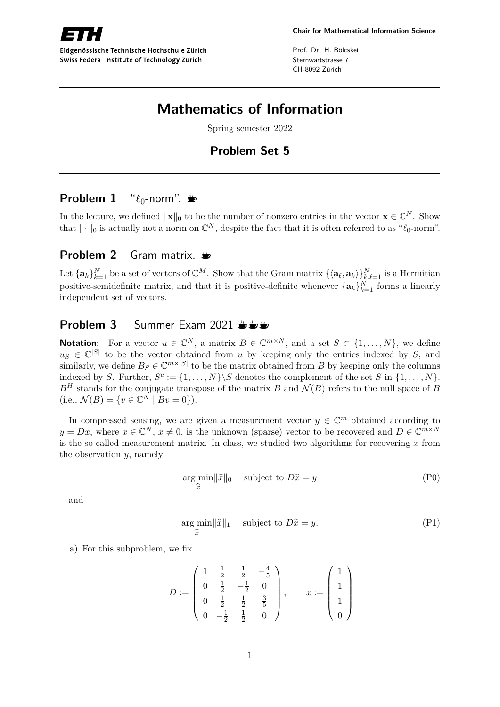

Eidgenössische Technische Hochschule Zürich Swiss Federal Institute of Technology Zurich

Prof. Dr. H. Bölcskei Sternwartstrasse 7 CH-8092 Zürich

# **Mathematics of Information**

Spring semester 2022

# **Problem Set 5**

## **Problem 1** " $\ell_0$ -norm".

In the lecture, we defined  $\|\mathbf{x}\|_0$  to be the number of nonzero entries in the vector  $\mathbf{x} \in \mathbb{C}^N$ . Show that  $\|\cdot\|_0$  is actually not a norm on  $\mathbb{C}^N$ , despite the fact that it is often referred to as " $\ell_0$ -norm".

### **Problem 2** Gram matrix.

Let  $\{\mathbf{a}_k\}_{k=1}^N$  be a set of vectors of  $\mathbb{C}^M$ . Show that the Gram matrix  $\{\langle \mathbf{a}_\ell, \mathbf{a}_k \rangle \}_{k,\ell=1}^N$  is a Hermitian positive-semidefinite matrix, and that it is positive-definite whenever  ${\{\mathbf{a}_k\}}_{k=1}^N$  forms a linearly independent set of vectors.

### **Problem 3** Summer Exam 2021  $\frac{1}{2}$

**Notation:** For a vector  $u \in \mathbb{C}^N$ , a matrix  $B \in \mathbb{C}^{m \times N}$ , and a set  $S \subset \{1, ..., N\}$ , we define  $u_S \in \mathbb{C}^{|S|}$  to be the vector obtained from *u* by keeping only the entries indexed by *S*, and similarly, we define  $B_S \in \mathbb{C}^{m \times |S|}$  to be the matrix obtained from *B* by keeping only the columns indexed by *S*. Further,  $S^c := \{1, \ldots, N\} \backslash S$  denotes the complement of the set *S* in  $\{1, \ldots, N\}$ .  $B<sup>H</sup>$  stands for the conjugate transpose of the matrix *B* and  $\mathcal{N}(B)$  refers to the null space of *B*  $(i.e., \mathcal{N}(B) = \{v \in \mathbb{C}^N \mid Bv = 0\}).$ 

In compressed sensing, we are given a measurement vector  $y \in \mathbb{C}^m$  obtained according to  $y = Dx$ , where  $x \in \mathbb{C}^N$ ,  $x \neq 0$ , is the unknown (sparse) vector to be recovered and  $D \in \mathbb{C}^{m \times N}$ is the so-called measurement matrix. In class, we studied two algorithms for recovering *x* from the observation *y*, namely

$$
\underset{\widehat{x}}{\arg \min} ||\widehat{x}||_0 \quad \text{subject to } D\widehat{x} = y \tag{P0}
$$

and

$$
\underset{\widehat{x}}{\arg \min} ||\widehat{x}||_1 \quad \text{subject to } D\widehat{x} = y. \tag{P1}
$$

a) For this subproblem, we fix

$$
D := \left(\begin{array}{cccc} 1 & \frac{1}{2} & \frac{1}{2} & -\frac{4}{5} \\ 0 & \frac{1}{2} & -\frac{1}{2} & 0 \\ 0 & \frac{1}{2} & \frac{1}{2} & \frac{3}{5} \\ 0 & -\frac{1}{2} & \frac{1}{2} & 0 \end{array}\right), \qquad x := \left(\begin{array}{c} 1 \\ 1 \\ 1 \\ 0 \end{array}\right)
$$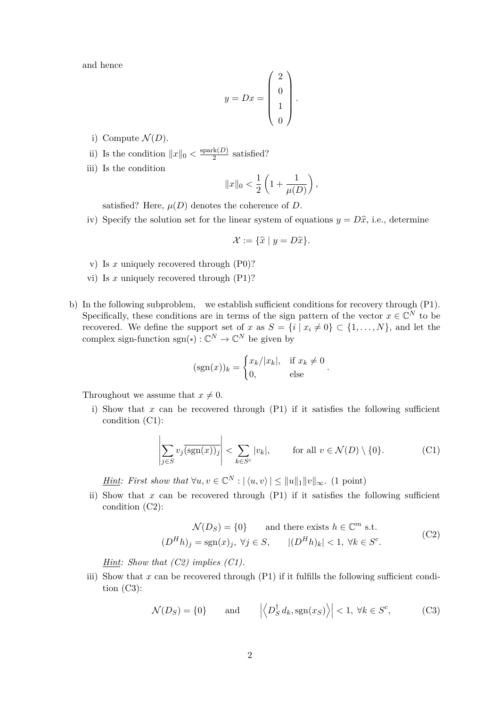and hence

$$
y = Dx = \begin{pmatrix} 2 \\ 0 \\ 1 \\ 0 \end{pmatrix}.
$$

i) Compute  $\mathcal{N}(D)$ .

ii) Is the condition  $||x||_0 < \frac{\text{spark}(D)}{2}$  $\frac{\pi(D)}{2}$  satisfied?

iii) Is the condition

$$
||x||_0 < \frac{1}{2} \left( 1 + \frac{1}{\mu(D)} \right),
$$

satisfied? Here,  $\mu(D)$  denotes the coherence of *D*.

iv) Specify the solution set for the linear system of equations  $y = D\hat{x}$ , i.e., determine

$$
\mathcal{X} := \{ \widehat{x} \mid y = D\widehat{x} \}.
$$

- v) Is *x* uniquely recovered through (P0)?
- vi) Is *x* uniquely recovered through (P1)?
- b) In the following subproblem, we establish sufficient conditions for recovery through (P1). Specifically, these conditions are in terms of the sign pattern of the vector  $x \in \mathbb{C}^N$  to be recovered. We define the support set of *x* as  $S = \{i \mid x_i \neq 0\} \subset \{1, \ldots, N\}$ , and let the complex sign-function  $sgn(*) : \mathbb{C}^N \to \mathbb{C}^N$  be given by

$$
(\operatorname{sgn}(x))_k = \begin{cases} x_k/|x_k|, & \text{if } x_k \neq 0\\ 0, & \text{else} \end{cases}
$$

Throughout we assume that  $x \neq 0$ .

i) Show that  $x$  can be recovered through  $(P1)$  if it satisfies the following sufficient condition (C1):

$$
\left| \sum_{j \in S} v_j \overline{(\text{sgn}(x))_j} \right| < \sum_{k \in S^c} |v_k|, \qquad \text{for all } v \in \mathcal{N}(D) \setminus \{0\}. \tag{C1}
$$

*.*

*Hint: First show that*  $\forall u, v \in \mathbb{C}^N : |\langle u, v \rangle| \le ||u||_1 ||v||_{\infty}$ . (1 point)

ii) Show that  $x$  can be recovered through  $(P1)$  if it satisfies the following sufficient condition (C2):

$$
\mathcal{N}(D_S) = \{0\} \qquad \text{and there exists } h \in \mathbb{C}^m \text{ s.t.}
$$
  

$$
(D^H h)_j = \text{sgn}(x)_j, \ \forall j \in S, \qquad |(D^H h)_k| < 1, \ \forall k \in S^c.
$$
 (C2)

*Hint: Show that (C2) implies (C1).*

iii) Show that  $x$  can be recovered through  $(P1)$  if it fulfills the following sufficient condition (C3):

$$
\mathcal{N}(D_S) = \{0\} \quad \text{and} \quad \left| \left\langle D_S^{\dagger} d_k, \text{sgn}(x_S) \right\rangle \right| < 1, \ \forall k \in S^c,\tag{C3}
$$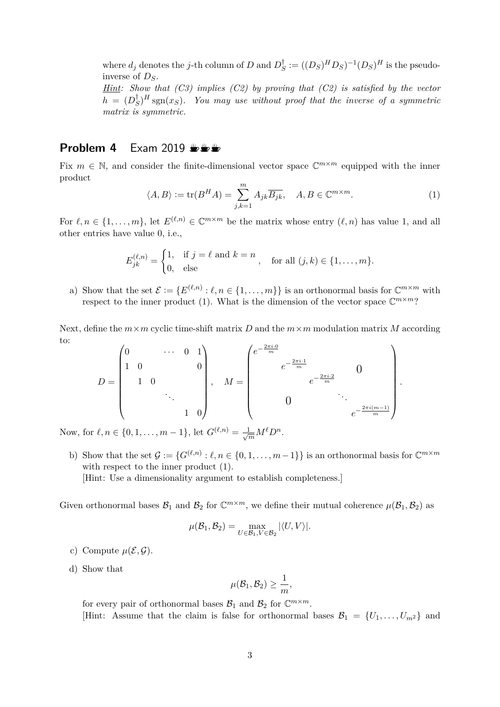where  $d_j$  denotes the *j*-th column of *D* and  $D_g^{\dagger}$  $S^{\dagger}$  :=  $((D_S)^H D_S)^{-1} (D_S)^H$  is the pseudoinverse of *DS*.

*Hint: Show that (C3) implies (C2) by proving that (C2) is satisfied by the vector*  $h = (D_s^{\dagger})$  $S^{\dagger}$ )<sup>*H*</sup> sgn(*xS*)*.* You may use without proof that the inverse of a symmetric *matrix is symmetric.*

### **Problem 4** Exam 2019  $\frac{10}{2}$

Fix  $m \in \mathbb{N}$ , and consider the finite-dimensional vector space  $\mathbb{C}^{m \times m}$  equipped with the inner product

$$
\langle A, B \rangle := \text{tr}(B^H A) = \sum_{j,k=1}^m A_{jk} \overline{B_{jk}}, \quad A, B \in \mathbb{C}^{m \times m}.
$$
 (1)

For  $\ell, n \in \{1, \ldots, m\}$ , let  $E^{(\ell,n)} \in \mathbb{C}^{m \times m}$  be the matrix whose entry  $(\ell, n)$  has value 1, and all other entries have value 0, i.e.,

$$
E_{jk}^{(\ell,n)} = \begin{cases} 1, & \text{if } j = \ell \text{ and } k = n \\ 0, & \text{else} \end{cases}, \quad \text{for all } (j,k) \in \{1, \ldots, m\}.
$$

a) Show that the set  $\mathcal{E} := \{ E^{(\ell,n)} : \ell, n \in \{1, \ldots, m\} \}$  is an orthonormal basis for  $\mathbb{C}^{m \times m}$  with respect to the inner product (1). What is the dimension of the vector space  $\mathbb{C}^{m \times m}$ ?

Next, define the  $m \times m$  cyclic time-shift matrix *D* and the  $m \times m$  modulation matrix *M* according to:

$$
D = \begin{pmatrix} 0 & \cdots & 0 & 1 \\ 1 & 0 & & & 0 \\ & 1 & 0 & & & \\ & & \ddots & & \\ & & & 1 & 0 \end{pmatrix}, \quad M = \begin{pmatrix} e^{-\frac{2\pi i \cdot 0}{m}} & & & & \\ & e^{-\frac{2\pi i \cdot 2}{m}} & & 0 & \\ & & e^{-\frac{2\pi i (m-1)}{m}} & & \\ & & & \ddots & \\ & & & & e^{-\frac{2\pi i (m-1)}{m}} \end{pmatrix}.
$$

Now, for  $\ell, n \in \{0, 1, \ldots, m-1\}$ , let  $G^{(\ell,n)} = \frac{1}{\sqrt{m}} M^{\ell} D^n$ .

b) Show that the set  $\mathcal{G} := \{ G^{(\ell,n)} : \ell, n \in \{0,1,\ldots,m-1\} \}$  is an orthonormal basis for  $\mathbb{C}^{m \times m}$ with respect to the inner product  $(1)$ .

[Hint: Use a dimensionality argument to establish completeness.]

Given orthonormal bases  $\mathcal{B}_1$  and  $\mathcal{B}_2$  for  $\mathbb{C}^{m \times m}$ , we define their mutual coherence  $\mu(\mathcal{B}_1, \mathcal{B}_2)$  as

$$
\mu(\mathcal{B}_1, \mathcal{B}_2) = \max_{U \in \mathcal{B}_1, V \in \mathcal{B}_2} |\langle U, V \rangle|.
$$

- c) Compute  $\mu(\mathcal{E}, \mathcal{G})$ .
- d) Show that

$$
\mu(\mathcal{B}_1,\mathcal{B}_2)\geq \frac{1}{m},
$$

for every pair of orthonormal bases  $B_1$  and  $B_2$  for  $\mathbb{C}^{m \times m}$ . [Hint: Assume that the claim is false for orthonormal bases  $\mathcal{B}_1 = \{U_1, \ldots, U_{m^2}\}\$  and